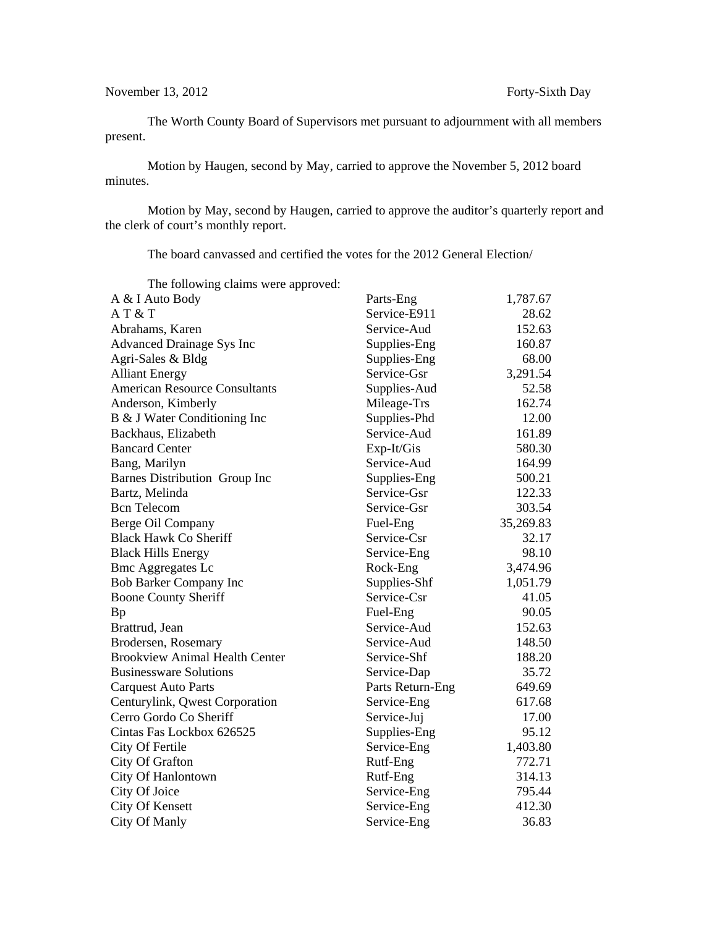The Worth County Board of Supervisors met pursuant to adjournment with all members present.

Motion by Haugen, second by May, carried to approve the November 5, 2012 board minutes.

Motion by May, second by Haugen, carried to approve the auditor's quarterly report and the clerk of court's monthly report.

The board canvassed and certified the votes for the 2012 General Election/

| The following claims were approved:   |                  |           |
|---------------------------------------|------------------|-----------|
| A & I Auto Body                       | Parts-Eng        | 1,787.67  |
| AT&T                                  | Service-E911     | 28.62     |
| Abrahams, Karen                       | Service-Aud      | 152.63    |
| <b>Advanced Drainage Sys Inc</b>      | Supplies-Eng     | 160.87    |
| Agri-Sales & Bldg                     | Supplies-Eng     | 68.00     |
| <b>Alliant Energy</b>                 | Service-Gsr      | 3,291.54  |
| <b>American Resource Consultants</b>  | Supplies-Aud     | 52.58     |
| Anderson, Kimberly                    | Mileage-Trs      | 162.74    |
| B & J Water Conditioning Inc          | Supplies-Phd     | 12.00     |
| Backhaus, Elizabeth                   | Service-Aud      | 161.89    |
| <b>Bancard Center</b>                 | $Exp-It/Gis$     | 580.30    |
| Bang, Marilyn                         | Service-Aud      | 164.99    |
| Barnes Distribution Group Inc         | Supplies-Eng     | 500.21    |
| Bartz, Melinda                        | Service-Gsr      | 122.33    |
| <b>Bcn</b> Telecom                    | Service-Gsr      | 303.54    |
| Berge Oil Company                     | Fuel-Eng         | 35,269.83 |
| <b>Black Hawk Co Sheriff</b>          | Service-Csr      | 32.17     |
| <b>Black Hills Energy</b>             | Service-Eng      | 98.10     |
| <b>Bmc Aggregates Lc</b>              | Rock-Eng         | 3,474.96  |
| <b>Bob Barker Company Inc</b>         | Supplies-Shf     | 1,051.79  |
| <b>Boone County Sheriff</b>           | Service-Csr      | 41.05     |
| Bp                                    | Fuel-Eng         | 90.05     |
| Brattrud, Jean                        | Service-Aud      | 152.63    |
| Brodersen, Rosemary                   | Service-Aud      | 148.50    |
| <b>Brookview Animal Health Center</b> | Service-Shf      | 188.20    |
| <b>Businessware Solutions</b>         | Service-Dap      | 35.72     |
| <b>Carquest Auto Parts</b>            | Parts Return-Eng | 649.69    |
| Centurylink, Qwest Corporation        | Service-Eng      | 617.68    |
| Cerro Gordo Co Sheriff                | Service-Juj      | 17.00     |
| Cintas Fas Lockbox 626525             | Supplies-Eng     | 95.12     |
| City Of Fertile                       | Service-Eng      | 1,403.80  |
| City Of Grafton                       | Rutf-Eng         | 772.71    |
| City Of Hanlontown                    | Rutf-Eng         | 314.13    |
| City Of Joice                         | Service-Eng      | 795.44    |
| City Of Kensett                       | Service-Eng      | 412.30    |
| City Of Manly                         | Service-Eng      | 36.83     |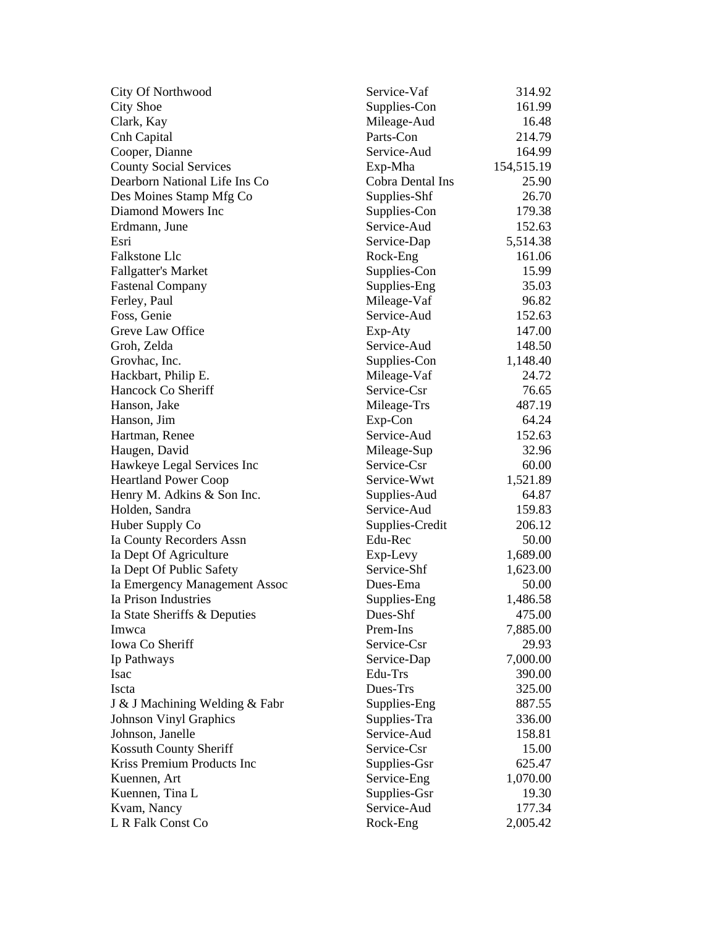| <b>City Of Northwood</b>       | Service-Vaf      | 314.92     |
|--------------------------------|------------------|------------|
| <b>City Shoe</b>               | Supplies-Con     | 161.99     |
| Clark, Kay                     | Mileage-Aud      | 16.48      |
| Cnh Capital                    | Parts-Con        | 214.79     |
| Cooper, Dianne                 | Service-Aud      | 164.99     |
| <b>County Social Services</b>  | Exp-Mha          | 154,515.19 |
| Dearborn National Life Ins Co  | Cobra Dental Ins | 25.90      |
| Des Moines Stamp Mfg Co        | Supplies-Shf     | 26.70      |
| Diamond Mowers Inc             | Supplies-Con     | 179.38     |
| Erdmann, June                  | Service-Aud      | 152.63     |
| Esri                           | Service-Dap      | 5,514.38   |
| Falkstone Llc                  | Rock-Eng         | 161.06     |
| <b>Fallgatter's Market</b>     | Supplies-Con     | 15.99      |
| <b>Fastenal Company</b>        | Supplies-Eng     | 35.03      |
| Ferley, Paul                   | Mileage-Vaf      | 96.82      |
| Foss, Genie                    | Service-Aud      | 152.63     |
| Greve Law Office               | Exp-Aty          | 147.00     |
| Groh, Zelda                    | Service-Aud      | 148.50     |
| Grovhac, Inc.                  | Supplies-Con     | 1,148.40   |
| Hackbart, Philip E.            | Mileage-Vaf      | 24.72      |
| Hancock Co Sheriff             | Service-Csr      | 76.65      |
| Hanson, Jake                   | Mileage-Trs      | 487.19     |
| Hanson, Jim                    | Exp-Con          | 64.24      |
| Hartman, Renee                 | Service-Aud      | 152.63     |
| Haugen, David                  | Mileage-Sup      | 32.96      |
| Hawkeye Legal Services Inc     | Service-Csr      | 60.00      |
| <b>Heartland Power Coop</b>    | Service-Wwt      | 1,521.89   |
| Henry M. Adkins & Son Inc.     | Supplies-Aud     | 64.87      |
| Holden, Sandra                 | Service-Aud      | 159.83     |
| Huber Supply Co                | Supplies-Credit  | 206.12     |
| Ia County Recorders Assn       | Edu-Rec          | 50.00      |
| Ia Dept Of Agriculture         | Exp-Levy         | 1,689.00   |
| Ia Dept Of Public Safety       | Service-Shf      | 1,623.00   |
| Ia Emergency Management Assoc  | Dues-Ema         | 50.00      |
| Ia Prison Industries           | Supplies-Eng     | 1,486.58   |
| Ia State Sheriffs & Deputies   | Dues-Shf         | 475.00     |
| Imwca                          | Prem-Ins         | 7,885.00   |
| Iowa Co Sheriff                | Service-Csr      | 29.93      |
| Ip Pathways                    | Service-Dap      | 7,000.00   |
| Isac                           | Edu-Trs          | 390.00     |
| Iscta                          | Dues-Trs         | 325.00     |
| J & J Machining Welding & Fabr | Supplies-Eng     | 887.55     |
| <b>Johnson Vinyl Graphics</b>  | Supplies-Tra     | 336.00     |
| Johnson, Janelle               | Service-Aud      | 158.81     |
| Kossuth County Sheriff         | Service-Csr      | 15.00      |
| Kriss Premium Products Inc     |                  |            |
|                                | Supplies-Gsr     | 625.47     |
| Kuennen, Art                   | Service-Eng      | 1,070.00   |
| Kuennen, Tina L                | Supplies-Gsr     | 19.30      |
| Kvam, Nancy                    | Service-Aud      | 177.34     |
| L R Falk Const Co              | Rock-Eng         | 2,005.42   |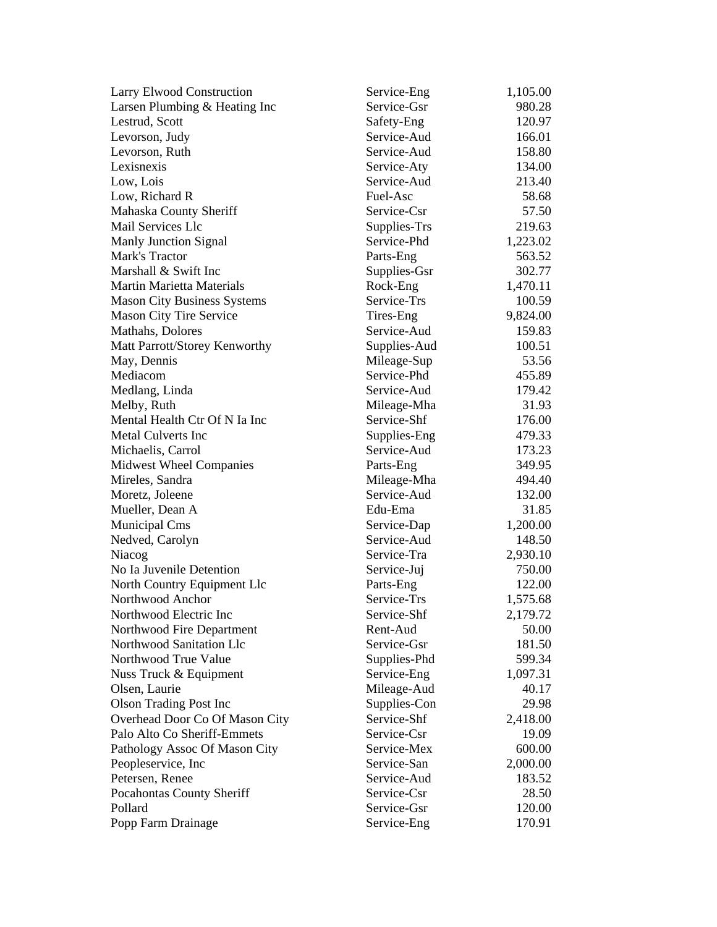| <b>Larry Elwood Construction</b>   | Service-Eng  | 1,105.00 |
|------------------------------------|--------------|----------|
| Larsen Plumbing & Heating Inc      | Service-Gsr  | 980.28   |
| Lestrud, Scott                     | Safety-Eng   | 120.97   |
| Levorson, Judy                     | Service-Aud  | 166.01   |
| Levorson, Ruth                     | Service-Aud  | 158.80   |
| Lexisnexis                         | Service-Aty  | 134.00   |
| Low, Lois                          | Service-Aud  | 213.40   |
| Low, Richard R                     | Fuel-Asc     | 58.68    |
| Mahaska County Sheriff             | Service-Csr  | 57.50    |
| Mail Services Llc                  | Supplies-Trs | 219.63   |
| Manly Junction Signal              | Service-Phd  | 1,223.02 |
| Mark's Tractor                     | Parts-Eng    | 563.52   |
| Marshall & Swift Inc               | Supplies-Gsr | 302.77   |
| <b>Martin Marietta Materials</b>   | Rock-Eng     | 1,470.11 |
| <b>Mason City Business Systems</b> | Service-Trs  | 100.59   |
| <b>Mason City Tire Service</b>     | Tires-Eng    | 9,824.00 |
| Mathahs, Dolores                   | Service-Aud  | 159.83   |
| Matt Parrott/Storey Kenworthy      | Supplies-Aud | 100.51   |
| May, Dennis                        | Mileage-Sup  | 53.56    |
| Mediacom                           | Service-Phd  | 455.89   |
| Medlang, Linda                     | Service-Aud  | 179.42   |
| Melby, Ruth                        | Mileage-Mha  | 31.93    |
| Mental Health Ctr Of N Ia Inc      | Service-Shf  | 176.00   |
| <b>Metal Culverts Inc</b>          | Supplies-Eng | 479.33   |
| Michaelis, Carrol                  | Service-Aud  | 173.23   |
| <b>Midwest Wheel Companies</b>     | Parts-Eng    | 349.95   |
| Mireles, Sandra                    | Mileage-Mha  | 494.40   |
| Moretz, Joleene                    | Service-Aud  | 132.00   |
| Mueller, Dean A                    | Edu-Ema      | 31.85    |
| <b>Municipal Cms</b>               | Service-Dap  | 1,200.00 |
| Nedved, Carolyn                    | Service-Aud  | 148.50   |
| Niacog                             | Service-Tra  | 2,930.10 |
| No Ia Juvenile Detention           | Service-Juj  | 750.00   |
| North Country Equipment Llc        | Parts-Eng    | 122.00   |
| Northwood Anchor                   | Service-Trs  | 1,575.68 |
| Northwood Electric Inc             | Service-Shf  | 2,179.72 |
| Northwood Fire Department          | Rent-Aud     | 50.00    |
| Northwood Sanitation Llc           | Service-Gsr  | 181.50   |
| Northwood True Value               | Supplies-Phd | 599.34   |
| Nuss Truck & Equipment             | Service-Eng  | 1,097.31 |
| Olsen, Laurie                      | Mileage-Aud  | 40.17    |
| <b>Olson Trading Post Inc</b>      | Supplies-Con | 29.98    |
| Overhead Door Co Of Mason City     | Service-Shf  | 2,418.00 |
| Palo Alto Co Sheriff-Emmets        | Service-Csr  | 19.09    |
| Pathology Assoc Of Mason City      | Service-Mex  | 600.00   |
| Peopleservice, Inc.                | Service-San  | 2,000.00 |
| Petersen, Renee                    | Service-Aud  | 183.52   |
| Pocahontas County Sheriff          | Service-Csr  | 28.50    |
| Pollard                            | Service-Gsr  | 120.00   |
| Popp Farm Drainage                 | Service-Eng  | 170.91   |